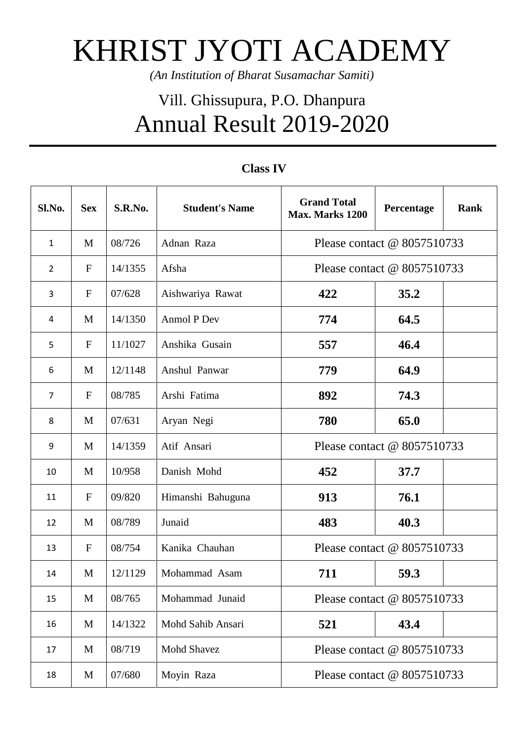## KHRIST JYOTI ACADEMY

*(An Institution of Bharat Susamachar Samiti)*

## Vill. Ghissupura, P.O. Dhanpura Annual Result 2019-2020

| Sl.No.           | <b>Sex</b>  | S.R.No. | <b>Student's Name</b> | <b>Grand Total</b><br>Max. Marks 1200 | Percentage | <b>Rank</b> |
|------------------|-------------|---------|-----------------------|---------------------------------------|------------|-------------|
| $\mathbf{1}$     | M           | 08/726  | Adnan Raza            | Please contact @ 8057510733           |            |             |
| $\overline{2}$   | $\mathbf F$ | 14/1355 | Afsha                 | Please contact @ 8057510733           |            |             |
| 3                | $\mathbf F$ | 07/628  | Aishwariya Rawat      | 422                                   | 35.2       |             |
| $\overline{4}$   | M           | 14/1350 | Anmol P Dev           | 774                                   | 64.5       |             |
| 5                | $\mathbf F$ | 11/1027 | Anshika Gusain        | 557                                   | 46.4       |             |
| 6                | M           | 12/1148 | Anshul Panwar         | 779                                   | 64.9       |             |
| $\overline{7}$   | $\mathbf F$ | 08/785  | Arshi Fatima          | 892                                   | 74.3       |             |
| 8                | M           | 07/631  | Aryan Negi            | 780                                   | 65.0       |             |
| $\boldsymbol{9}$ | M           | 14/1359 | Atif Ansari           | Please contact @ 8057510733           |            |             |
| 10               | M           | 10/958  | Danish Mohd           | 452                                   | 37.7       |             |
| 11               | $\mathbf F$ | 09/820  | Himanshi Bahuguna     | 913                                   | 76.1       |             |
| 12               | M           | 08/789  | Junaid                | 483                                   | 40.3       |             |
| 13               | $\mathbf F$ | 08/754  | Kanika Chauhan        | Please contact @ 8057510733           |            |             |
| 14               | M           | 12/1129 | Mohammad Asam         | 711                                   | 59.3       |             |
| 15               | M           | 08/765  | Mohammad Junaid       | Please contact @ 8057510733           |            |             |
| 16               | M           | 14/1322 | Mohd Sahib Ansari     | 521                                   | 43.4       |             |
| 17               | M           | 08/719  | <b>Mohd Shavez</b>    | Please contact @ 8057510733           |            |             |
| 18               | M           | 07/680  | Moyin Raza            | Please contact @ 8057510733           |            |             |

## **Class IV**